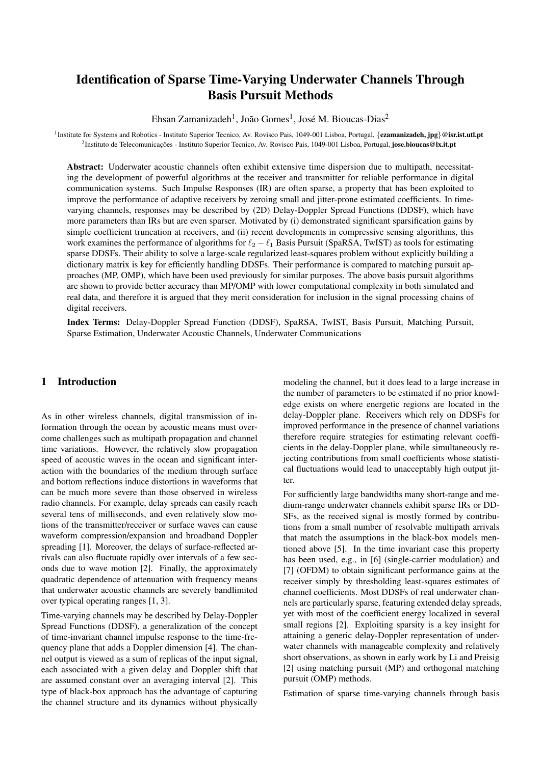# Identification of Sparse Time-Varying Underwater Channels Through Basis Pursuit Methods

Ehsan Zamanizadeh<sup>1</sup>, João Gomes<sup>1</sup>, José M. Bioucas-Dias<sup>2</sup>

<sup>1</sup> Institute for Systems and Robotics - Instituto Superior Tecnico, Av. Rovisco Pais, 1049-001 Lisboa, Portugal, {ezamanizadeh, jpg}@isr.ist.utl.pt <sup>2</sup>Instituto de Telecomunicações - Instituto Superior Tecnico, Av. Rovisco Pais, 1049-001 Lisboa, Portugal, **jose.bioucas@lx.it.pt** 

Abstract: Underwater acoustic channels often exhibit extensive time dispersion due to multipath, necessitating the development of powerful algorithms at the receiver and transmitter for reliable performance in digital communication systems. Such Impulse Responses (IR) are often sparse, a property that has been exploited to improve the performance of adaptive receivers by zeroing small and jitter-prone estimated coefficients. In timevarying channels, responses may be described by (2D) Delay-Doppler Spread Functions (DDSF), which have more parameters than IRs but are even sparser. Motivated by (i) demonstrated significant sparsification gains by simple coefficient truncation at receivers, and (ii) recent developments in compressive sensing algorithms, this work examines the performance of algorithms for  $\ell_2 - \ell_1$  Basis Pursuit (SpaRSA, TwIST) as tools for estimating sparse DDSFs. Their ability to solve a large-scale regularized least-squares problem without explicitly building a dictionary matrix is key for efficiently handling DDSFs. Their performance is compared to matching pursuit approaches (MP, OMP), which have been used previously for similar purposes. The above basis pursuit algorithms are shown to provide better accuracy than MP/OMP with lower computational complexity in both simulated and real data, and therefore it is argued that they merit consideration for inclusion in the signal processing chains of digital receivers.

Index Terms: Delay-Doppler Spread Function (DDSF), SpaRSA, TwIST, Basis Pursuit, Matching Pursuit, Sparse Estimation, Underwater Acoustic Channels, Underwater Communications

# 1 Introduction

As in other wireless channels, digital transmission of information through the ocean by acoustic means must overcome challenges such as multipath propagation and channel time variations. However, the relatively slow propagation speed of acoustic waves in the ocean and significant interaction with the boundaries of the medium through surface and bottom reflections induce distortions in waveforms that can be much more severe than those observed in wireless radio channels. For example, delay spreads can easily reach several tens of milliseconds, and even relatively slow motions of the transmitter/receiver or surface waves can cause waveform compression/expansion and broadband Doppler spreading [1]. Moreover, the delays of surface-reflected arrivals can also fluctuate rapidly over intervals of a few seconds due to wave motion [2]. Finally, the approximately quadratic dependence of attenuation with frequency means that underwater acoustic channels are severely bandlimited over typical operating ranges [1, 3].

Time-varying channels may be described by Delay-Doppler Spread Functions (DDSF), a generalization of the concept of time-invariant channel impulse response to the time-frequency plane that adds a Doppler dimension [4]. The channel output is viewed as a sum of replicas of the input signal, each associated with a given delay and Doppler shift that are assumed constant over an averaging interval [2]. This type of black-box approach has the advantage of capturing the channel structure and its dynamics without physically modeling the channel, but it does lead to a large increase in the number of parameters to be estimated if no prior knowledge exists on where energetic regions are located in the delay-Doppler plane. Receivers which rely on DDSFs for improved performance in the presence of channel variations therefore require strategies for estimating relevant coefficients in the delay-Doppler plane, while simultaneously rejecting contributions from small coefficients whose statistical fluctuations would lead to unacceptably high output jitter.

For sufficiently large bandwidths many short-range and medium-range underwater channels exhibit sparse IRs or DD-SFs, as the received signal is mostly formed by contributions from a small number of resolvable multipath arrivals that match the assumptions in the black-box models mentioned above [5]. In the time invariant case this property has been used, e.g., in [6] (single-carrier modulation) and [7] (OFDM) to obtain significant performance gains at the receiver simply by thresholding least-squares estimates of channel coefficients. Most DDSFs of real underwater channels are particularly sparse, featuring extended delay spreads, yet with most of the coefficient energy localized in several small regions [2]. Exploiting sparsity is a key insight for attaining a generic delay-Doppler representation of underwater channels with manageable complexity and relatively short observations, as shown in early work by Li and Preisig [2] using matching pursuit (MP) and orthogonal matching pursuit (OMP) methods.

Estimation of sparse time-varying channels through basis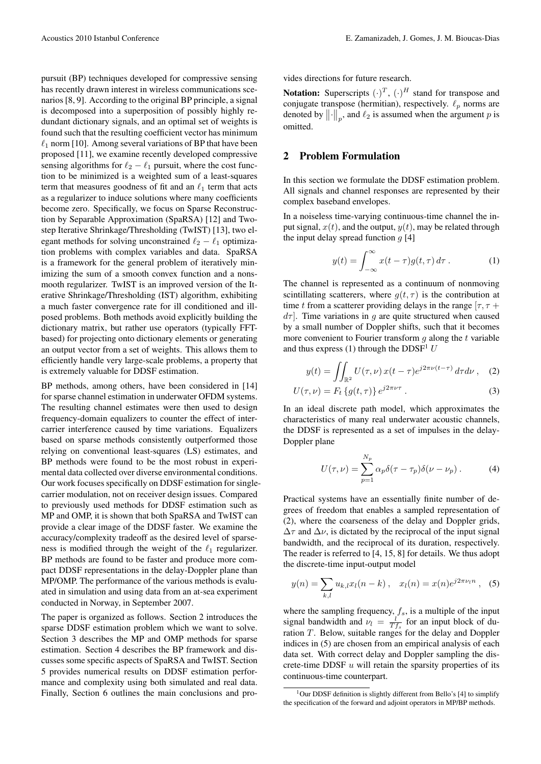pursuit (BP) techniques developed for compressive sensing has recently drawn interest in wireless communications scenarios [8, 9]. According to the original BP principle, a signal is decomposed into a superposition of possibly highly redundant dictionary signals, and an optimal set of weights is found such that the resulting coefficient vector has minimum  $\ell_1$  norm [10]. Among several variations of BP that have been proposed [11], we examine recently developed compressive sensing algorithms for  $\ell_2 - \ell_1$  pursuit, where the cost function to be minimized is a weighted sum of a least-squares term that measures goodness of fit and an  $\ell_1$  term that acts as a regularizer to induce solutions where many coefficients become zero. Specifically, we focus on Sparse Reconstruction by Separable Approximation (SpaRSA) [12] and Twostep Iterative Shrinkage/Thresholding (TwIST) [13], two elegant methods for solving unconstrained  $\ell_2 - \ell_1$  optimization problems with complex variables and data. SpaRSA is a framework for the general problem of iteratively minimizing the sum of a smooth convex function and a nonsmooth regularizer. TwIST is an improved version of the Iterative Shrinkage/Thresholding (IST) algorithm, exhibiting a much faster convergence rate for ill conditioned and illposed problems. Both methods avoid explicitly building the dictionary matrix, but rather use operators (typically FFTbased) for projecting onto dictionary elements or generating an output vector from a set of weights. This allows them to efficiently handle very large-scale problems, a property that is extremely valuable for DDSF estimation.

BP methods, among others, have been considered in [14] for sparse channel estimation in underwater OFDM systems. The resulting channel estimates were then used to design frequency-domain equalizers to counter the effect of intercarrier interference caused by time variations. Equalizers based on sparse methods consistently outperformed those relying on conventional least-squares (LS) estimates, and BP methods were found to be the most robust in experimental data collected over diverse environmental conditions. Our work focuses specifically on DDSF estimation for singlecarrier modulation, not on receiver design issues. Compared to previously used methods for DDSF estimation such as MP and OMP, it is shown that both SpaRSA and TwIST can provide a clear image of the DDSF faster. We examine the accuracy/complexity tradeoff as the desired level of sparseness is modified through the weight of the  $\ell_1$  regularizer. BP methods are found to be faster and produce more compact DDSF representations in the delay-Doppler plane than MP/OMP. The performance of the various methods is evaluated in simulation and using data from an at-sea experiment conducted in Norway, in September 2007.

The paper is organized as follows. Section 2 introduces the sparse DDSF estimation problem which we want to solve. Section 3 describes the MP and OMP methods for sparse estimation. Section 4 describes the BP framework and discusses some specific aspects of SpaRSA and TwIST. Section 5 provides numerical results on DDSF estimation performance and complexity using both simulated and real data. Finally, Section 6 outlines the main conclusions and provides directions for future research.

**Notation:** Superscripts  $(\cdot)^T$ ,  $(\cdot)^H$  stand for transpose and conjugate transpose (hermitian), respectively.  $\ell_p$  norms are denoted by  $\left\| \cdot \right\|_p$ , and  $\ell_2$  is assumed when the argument p is omitted.

## 2 Problem Formulation

In this section we formulate the DDSF estimation problem. All signals and channel responses are represented by their complex baseband envelopes.

In a noiseless time-varying continuous-time channel the input signal,  $x(t)$ , and the output,  $y(t)$ , may be related through the input delay spread function  $q$  [4]

$$
y(t) = \int_{-\infty}^{\infty} x(t - \tau)g(t, \tau) d\tau.
$$
 (1)

The channel is represented as a continuum of nonmoving scintillating scatterers, where  $q(t, \tau)$  is the contribution at time t from a scatterer providing delays in the range  $[\tau, \tau +$  $d\tau$ . Time variations in g are quite structured when caused by a small number of Doppler shifts, such that it becomes more convenient to Fourier transform  $q$  along the  $t$  variable and thus express (1) through the DDSF<sup>1</sup> U

$$
y(t) = \iint_{\mathbb{R}^2} U(\tau, \nu) x(t - \tau) e^{j2\pi \nu (t - \tau)} d\tau d\nu , \quad (2)
$$

$$
U(\tau,\nu) = F_t \{g(t,\tau)\} e^{j2\pi\nu\tau} . \tag{3}
$$

In an ideal discrete path model, which approximates the characteristics of many real underwater acoustic channels, the DDSF is represented as a set of impulses in the delay-Doppler plane

$$
U(\tau,\nu) = \sum_{p=1}^{N_p} \alpha_p \delta(\tau - \tau_p) \delta(\nu - \nu_p).
$$
 (4)

Practical systems have an essentially finite number of degrees of freedom that enables a sampled representation of (2), where the coarseness of the delay and Doppler grids,  $\Delta\tau$  and  $\Delta\nu$ , is dictated by the reciprocal of the input signal bandwidth, and the reciprocal of its duration, respectively. The reader is referred to [4, 15, 8] for details. We thus adopt the discrete-time input-output model

$$
y(n) = \sum_{k,l} u_{k,l} x_l(n-k) , \quad x_l(n) = x(n) e^{j2\pi \nu_l n} , \quad (5)
$$

where the sampling frequency,  $f_s$ , is a multiple of the input signal bandwidth and  $\nu_l = \frac{l}{Tf_s}$  for an input block of duration  $T$ . Below, suitable ranges for the delay and Doppler indices in (5) are chosen from an empirical analysis of each data set. With correct delay and Doppler sampling the discrete-time DDSF  $u$  will retain the sparsity properties of its continuous-time counterpart.

<sup>&</sup>lt;sup>1</sup>Our DDSF definition is slightly different from Bello's [4] to simplify the specification of the forward and adjoint operators in MP/BP methods.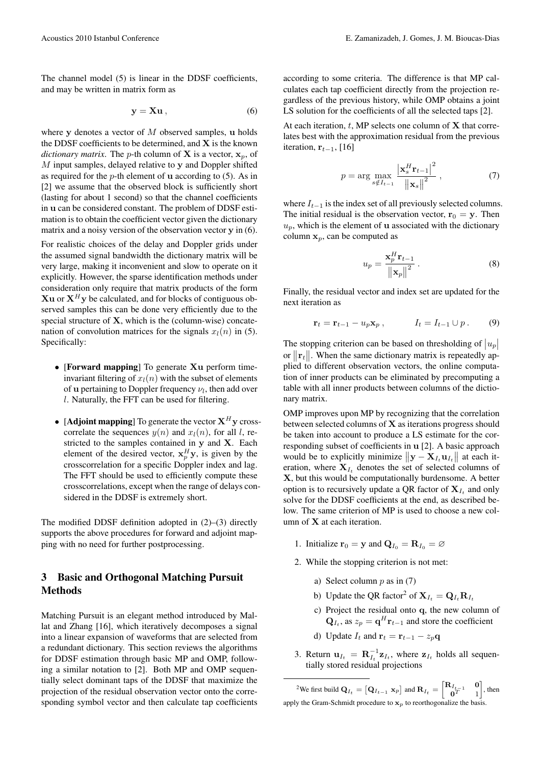The channel model (5) is linear in the DDSF coefficients, and may be written in matrix form as

$$
y = Xu , \tag{6}
$$

where  $v$  denotes a vector of  $M$  observed samples, u holds the DDSF coefficients to be determined, and  $X$  is the known *dictionary matrix*. The *p*-th column of **X** is a vector,  $x_n$ , of  $M$  input samples, delayed relative to y and Doppler shifted as required for the  $p$ -th element of **u** according to (5). As in [2] we assume that the observed block is sufficiently short (lasting for about 1 second) so that the channel coefficients in u can be considered constant. The problem of DDSF estimation is to obtain the coefficient vector given the dictionary matrix and a noisy version of the observation vector y in (6).

For realistic choices of the delay and Doppler grids under the assumed signal bandwidth the dictionary matrix will be very large, making it inconvenient and slow to operate on it explicitly. However, the sparse identification methods under consideration only require that matrix products of the form  $Xu$  or  $X<sup>H</sup>y$  be calculated, and for blocks of contiguous observed samples this can be done very efficiently due to the special structure of  $X$ , which is the (column-wise) concatenation of convolution matrices for the signals  $x_l(n)$  in (5). Specifically:

- [Forward mapping] To generate Xu perform timeinvariant filtering of  $x_l(n)$  with the subset of elements of **u** pertaining to Doppler frequency  $\nu_l$ , then add over l. Naturally, the FFT can be used for filtering.
- [Adjoint mapping] To generate the vector  $X^H y$  crosscorrelate the sequences  $y(n)$  and  $x<sub>l</sub>(n)$ , for all l, restricted to the samples contained in y and X. Each element of the desired vector,  $x_p^H y$ , is given by the crosscorrelation for a specific Doppler index and lag. The FFT should be used to efficiently compute these crosscorrelations, except when the range of delays considered in the DDSF is extremely short.

The modified DDSF definition adopted in (2)–(3) directly supports the above procedures for forward and adjoint mapping with no need for further postprocessing.

# 3 Basic and Orthogonal Matching Pursuit Methods

Matching Pursuit is an elegant method introduced by Mallat and Zhang [16], which iteratively decomposes a signal into a linear expansion of waveforms that are selected from a redundant dictionary. This section reviews the algorithms for DDSF estimation through basic MP and OMP, following a similar notation to [2]. Both MP and OMP sequentially select dominant taps of the DDSF that maximize the projection of the residual observation vector onto the corresponding symbol vector and then calculate tap coefficients according to some criteria. The difference is that MP calculates each tap coefficient directly from the projection regardless of the previous history, while OMP obtains a joint LS solution for the coefficients of all the selected taps [2].

At each iteration,  $t$ , MP selects one column of  $X$  that correlates best with the approximation residual from the previous iteration,  $\mathbf{r}_{t-1}$ , [16]

$$
p = \arg \max_{s \notin I_{t-1}} \frac{|\mathbf{x}_s^H \mathbf{r}_{t-1}|^2}{\|\mathbf{x}_s\|^2},
$$
 (7)

where  $I_{t-1}$  is the index set of all previously selected columns. The initial residual is the observation vector,  $r_0 = y$ . Then  $u_p$ , which is the element of **u** associated with the dictionary column  $x_p$ , can be computed as

$$
u_p = \frac{\mathbf{x}_p^H \mathbf{r}_{t-1}}{\left\| \mathbf{x}_p \right\|^2} \,. \tag{8}
$$

Finally, the residual vector and index set are updated for the next iteration as

$$
\mathbf{r}_t = \mathbf{r}_{t-1} - u_p \mathbf{x}_p , \qquad I_t = I_{t-1} \cup p . \qquad (9)
$$

The stopping criterion can be based on thresholding of  $|u_p|$ or  $\|\mathbf{r}_t\|$ . When the same dictionary matrix is repeatedly applied to different observation vectors, the online computation of inner products can be eliminated by precomputing a table with all inner products between columns of the dictionary matrix.

OMP improves upon MP by recognizing that the correlation between selected columns of X as iterations progress should be taken into account to produce a LS estimate for the corresponding subset of coefficients in u [2]. A basic approach would be to explicitly minimize  $\|\mathbf{y} - \mathbf{X}_{I_t} \mathbf{u}_{I_t}\|$  at each iteration, where  $X_{I_t}$  denotes the set of selected columns of X, but this would be computationally burdensome. A better option is to recursively update a QR factor of  $X_{I_t}$  and only solve for the DDSF coefficients at the end, as described below. The same criterion of MP is used to choose a new column of X at each iteration.

- 1. Initialize  $\mathbf{r}_0 = \mathbf{y}$  and  $\mathbf{Q}_{I_0} = \mathbf{R}_{I_0} = \emptyset$
- 2. While the stopping criterion is not met:
	- a) Select column  $p$  as in (7)
	- b) Update the QR factor<sup>2</sup> of  $X_{I_t} = Q_{I_t} R_{I_t}$
	- c) Project the residual onto q, the new column of  $\mathbf{Q}_{I_t}$ , as  $z_p = \mathbf{q}^H \mathbf{r}_{t-1}$  and store the coefficient
	- d) Update  $I_t$  and  $\mathbf{r}_t = \mathbf{r}_{t-1} z_p \mathbf{q}$
- 3. Return  $\mathbf{u}_{I_t} = \mathbf{R}_{I_t}^{-1} \mathbf{z}_{I_t}$ , where  $\mathbf{z}_{I_t}$  holds all sequentially stored residual projections

<sup>2</sup>We first build  $\mathbf{Q}_{I_t} = \begin{bmatrix} \mathbf{Q}_{I_{t-1}} & \mathbf{x}_p \end{bmatrix}$  and  $\mathbf{R}_{I_t} = \begin{bmatrix} \mathbf{R}_{I_{t-1}} & 0 \\ 0 & 1 \end{bmatrix}$  $\mathbf{0}^T$  1  $\int$ , then apply the Gram-Schmidt procedure to  $x_p$  to reorthogonalize the basis.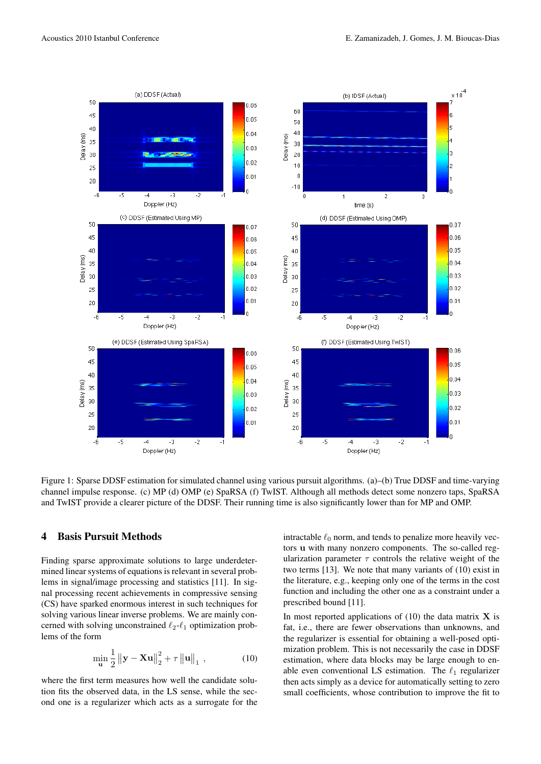

Figure 1: Sparse DDSF estimation for simulated channel using various pursuit algorithms. (a)–(b) True DDSF and time-varying channel impulse response. (c) MP (d) OMP (e) SpaRSA (f) TwIST. Although all methods detect some nonzero taps, SpaRSA and TwIST provide a clearer picture of the DDSF. Their running time is also significantly lower than for MP and OMP.

#### 4 Basis Pursuit Methods

Finding sparse approximate solutions to large underdetermined linear systems of equations is relevant in several problems in signal/image processing and statistics [11]. In signal processing recent achievements in compressive sensing (CS) have sparked enormous interest in such techniques for solving various linear inverse problems. We are mainly concerned with solving unconstrained  $\ell_2-\ell_1$  optimization problems of the form

$$
\min_{\mathbf{u}} \frac{1}{2} \| \mathbf{y} - \mathbf{X} \mathbf{u} \|_{2}^{2} + \tau \| \mathbf{u} \|_{1} , \qquad (10)
$$

where the first term measures how well the candidate solution fits the observed data, in the LS sense, while the second one is a regularizer which acts as a surrogate for the intractable  $\ell_0$  norm, and tends to penalize more heavily vectors u with many nonzero components. The so-called regularization parameter  $\tau$  controls the relative weight of the two terms [13]. We note that many variants of (10) exist in the literature, e.g., keeping only one of the terms in the cost function and including the other one as a constraint under a prescribed bound [11].

In most reported applications of  $(10)$  the data matrix **X** is fat, i.e., there are fewer observations than unknowns, and the regularizer is essential for obtaining a well-posed optimization problem. This is not necessarily the case in DDSF estimation, where data blocks may be large enough to enable even conventional LS estimation. The  $\ell_1$  regularizer then acts simply as a device for automatically setting to zero small coefficients, whose contribution to improve the fit to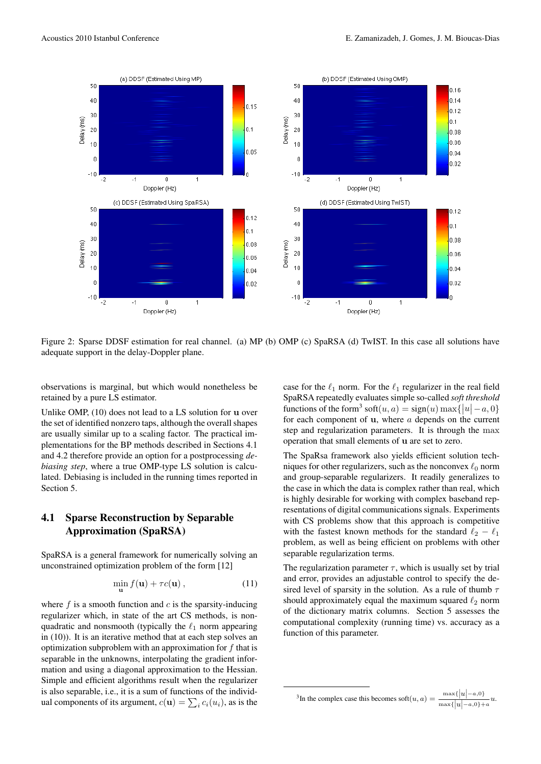

Figure 2: Sparse DDSF estimation for real channel. (a) MP (b) OMP (c) SpaRSA (d) TwIST. In this case all solutions have adequate support in the delay-Doppler plane.

observations is marginal, but which would nonetheless be retained by a pure LS estimator.

Unlike OMP, (10) does not lead to a LS solution for u over the set of identified nonzero taps, although the overall shapes are usually similar up to a scaling factor. The practical implementations for the BP methods described in Sections 4.1 and 4.2 therefore provide an option for a postprocessing *debiasing step*, where a true OMP-type LS solution is calculated. Debiasing is included in the running times reported in Section 5.

# 4.1 Sparse Reconstruction by Separable Approximation (SpaRSA)

SpaRSA is a general framework for numerically solving an unconstrained optimization problem of the form [12]

$$
\min_{\mathbf{u}} f(\mathbf{u}) + \tau c(\mathbf{u}), \qquad (11)
$$

where  $f$  is a smooth function and  $c$  is the sparsity-inducing regularizer which, in state of the art CS methods, is nonquadratic and nonsmooth (typically the  $\ell_1$  norm appearing in (10)). It is an iterative method that at each step solves an optimization subproblem with an approximation for  $f$  that is separable in the unknowns, interpolating the gradient information and using a diagonal approximation to the Hessian. Simple and efficient algorithms result when the regularizer is also separable, i.e., it is a sum of functions of the individual components of its argument,  $c(\mathbf{u}) = \sum_i c_i(u_i)$ , as is the

case for the  $\ell_1$  norm. For the  $\ell_1$  regularizer in the real field SpaRSA repeatedly evaluates simple so-called *soft threshold* functions of the form<sup>3</sup> soft $(u, a) = sign(u) \max\{|u| - a, 0\}$ for each component of  $u$ , where  $a$  depends on the current step and regularization parameters. It is through the max operation that small elements of u are set to zero.

The SpaRsa framework also yields efficient solution techniques for other regularizers, such as the nonconvex  $\ell_0$  norm and group-separable regularizers. It readily generalizes to the case in which the data is complex rather than real, which is highly desirable for working with complex baseband representations of digital communications signals. Experiments with CS problems show that this approach is competitive with the fastest known methods for the standard  $\ell_2 - \ell_1$ problem, as well as being efficient on problems with other separable regularization terms.

The regularization parameter  $\tau$ , which is usually set by trial and error, provides an adjustable control to specify the desired level of sparsity in the solution. As a rule of thumb  $\tau$ should approximately equal the maximum squared  $\ell_2$  norm of the dictionary matrix columns. Section 5 assesses the computational complexity (running time) vs. accuracy as a function of this parameter.

<sup>&</sup>lt;sup>3</sup>In the complex case this becomes soft $(u, a) = \frac{\max\{|u| - a, 0\}}{\max\{|u| - a, 0\} + a} u$ .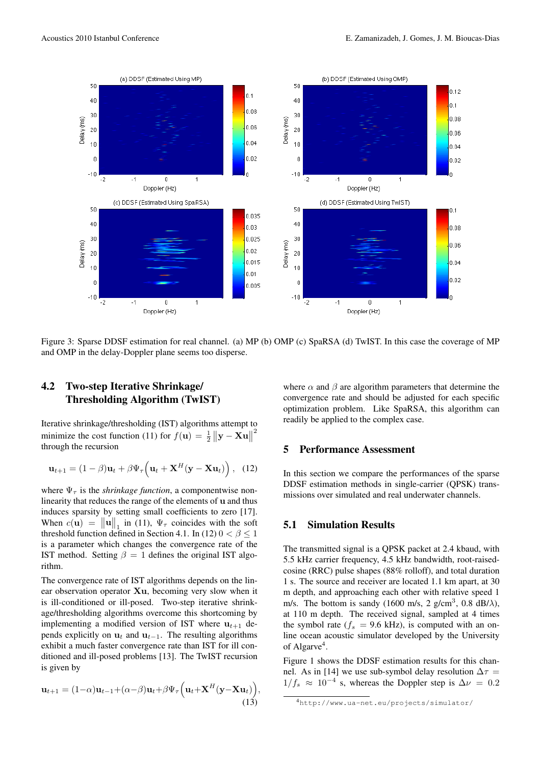

Figure 3: Sparse DDSF estimation for real channel. (a) MP (b) OMP (c) SpaRSA (d) TwIST. In this case the coverage of MP and OMP in the delay-Doppler plane seems too disperse.

# 4.2 Two-step Iterative Shrinkage/ Thresholding Algorithm (TwIST)

Iterative shrinkage/thresholding (IST) algorithms attempt to minimize the cost function (11) for  $f(\mathbf{u}) = \frac{1}{2} ||\mathbf{y} - \mathbf{X}\mathbf{u}||$ 2 through the recursion

$$
\mathbf{u}_{t+1} = (1 - \beta)\mathbf{u}_t + \beta \Psi_\tau \left(\mathbf{u}_t + \mathbf{X}^H(\mathbf{y} - \mathbf{X}\mathbf{u}_t)\right), (12)
$$

where  $\Psi_{\tau}$  is the *shrinkage function*, a componentwise nonlinearity that reduces the range of the elements of u and thus induces sparsity by setting small coefficients to zero [17]. When  $c(\mathbf{u}) = ||\mathbf{u}||_1$  in (11),  $\Psi_\tau$  coincides with the soft threshold function defined in Section 4.1. In (12)  $0 < \beta \le 1$ is a parameter which changes the convergence rate of the IST method. Setting  $\beta = 1$  defines the original IST algorithm.

The convergence rate of IST algorithms depends on the linear observation operator Xu, becoming very slow when it is ill-conditioned or ill-posed. Two-step iterative shrinkage/thresholding algorithms overcome this shortcoming by implementing a modified version of IST where  $u_{t+1}$  depends explicitly on  $\mathbf{u}_t$  and  $\mathbf{u}_{t-1}$ . The resulting algorithms exhibit a much faster convergence rate than IST for ill conditioned and ill-posed problems [13]. The TwIST recursion is given by

$$
\mathbf{u}_{t+1} = (1-\alpha)\mathbf{u}_{t-1} + (\alpha-\beta)\mathbf{u}_t + \beta\Psi_\tau \Big(\mathbf{u}_t + \mathbf{X}^H(\mathbf{y}-\mathbf{X}\mathbf{u}_t)\Big),\tag{13}
$$

where  $\alpha$  and  $\beta$  are algorithm parameters that determine the convergence rate and should be adjusted for each specific optimization problem. Like SpaRSA, this algorithm can readily be applied to the complex case.

#### 5 Performance Assessment

In this section we compare the performances of the sparse DDSF estimation methods in single-carrier (QPSK) transmissions over simulated and real underwater channels.

### 5.1 Simulation Results

The transmitted signal is a QPSK packet at 2.4 kbaud, with 5.5 kHz carrier frequency, 4.5 kHz bandwidth, root-raisedcosine (RRC) pulse shapes (88% rolloff), and total duration 1 s. The source and receiver are located 1.1 km apart, at 30 m depth, and approaching each other with relative speed 1 m/s. The bottom is sandy (1600 m/s, 2 g/cm<sup>3</sup>, 0.8 dB/ $\lambda$ ), at 110 m depth. The received signal, sampled at 4 times the symbol rate ( $f_s$  = 9.6 kHz), is computed with an online ocean acoustic simulator developed by the University of Algarve<sup>4</sup>.

Figure 1 shows the DDSF estimation results for this channel. As in [14] we use sub-symbol delay resolution  $\Delta \tau$  =  $1/f_s \approx 10^{-4}$  s, whereas the Doppler step is  $\Delta \nu = 0.2$ 

<sup>4</sup>http://www.ua-net.eu/projects/simulator/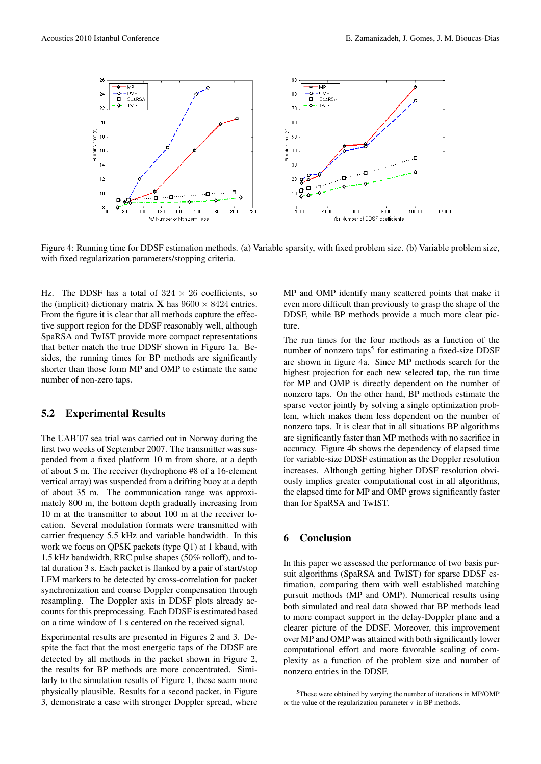

Figure 4: Running time for DDSF estimation methods. (a) Variable sparsity, with fixed problem size. (b) Variable problem size, with fixed regularization parameters/stopping criteria.

Hz. The DDSF has a total of  $324 \times 26$  coefficients, so the (implicit) dictionary matrix **X** has  $9600 \times 8424$  entries. From the figure it is clear that all methods capture the effective support region for the DDSF reasonably well, although SpaRSA and TwIST provide more compact representations that better match the true DDSF shown in Figure 1a. Besides, the running times for BP methods are significantly shorter than those form MP and OMP to estimate the same number of non-zero taps.

#### 5.2 Experimental Results

The UAB'07 sea trial was carried out in Norway during the first two weeks of September 2007. The transmitter was suspended from a fixed platform 10 m from shore, at a depth of about 5 m. The receiver (hydrophone #8 of a 16-element vertical array) was suspended from a drifting buoy at a depth of about 35 m. The communication range was approximately 800 m, the bottom depth gradually increasing from 10 m at the transmitter to about 100 m at the receiver location. Several modulation formats were transmitted with carrier frequency 5.5 kHz and variable bandwidth. In this work we focus on QPSK packets (type Q1) at 1 kbaud, with 1.5 kHz bandwidth, RRC pulse shapes (50% rolloff), and total duration 3 s. Each packet is flanked by a pair of start/stop LFM markers to be detected by cross-correlation for packet synchronization and coarse Doppler compensation through resampling. The Doppler axis in DDSF plots already accounts for this preprocessing. Each DDSF is estimated based on a time window of 1 s centered on the received signal.

Experimental results are presented in Figures 2 and 3. Despite the fact that the most energetic taps of the DDSF are detected by all methods in the packet shown in Figure 2, the results for BP methods are more concentrated. Similarly to the simulation results of Figure 1, these seem more physically plausible. Results for a second packet, in Figure 3, demonstrate a case with stronger Doppler spread, where MP and OMP identify many scattered points that make it even more difficult than previously to grasp the shape of the DDSF, while BP methods provide a much more clear picture.

The run times for the four methods as a function of the number of nonzero taps<sup>5</sup> for estimating a fixed-size DDSF are shown in figure 4a. Since MP methods search for the highest projection for each new selected tap, the run time for MP and OMP is directly dependent on the number of nonzero taps. On the other hand, BP methods estimate the sparse vector jointly by solving a single optimization problem, which makes them less dependent on the number of nonzero taps. It is clear that in all situations BP algorithms are significantly faster than MP methods with no sacrifice in accuracy. Figure 4b shows the dependency of elapsed time for variable-size DDSF estimation as the Doppler resolution increases. Although getting higher DDSF resolution obviously implies greater computational cost in all algorithms, the elapsed time for MP and OMP grows significantly faster than for SpaRSA and TwIST.

## 6 Conclusion

In this paper we assessed the performance of two basis pursuit algorithms (SpaRSA and TwIST) for sparse DDSF estimation, comparing them with well established matching pursuit methods (MP and OMP). Numerical results using both simulated and real data showed that BP methods lead to more compact support in the delay-Doppler plane and a clearer picture of the DDSF. Moreover, this improvement over MP and OMP was attained with both significantly lower computational effort and more favorable scaling of complexity as a function of the problem size and number of nonzero entries in the DDSF.

<sup>5</sup>These were obtained by varying the number of iterations in MP/OMP or the value of the regularization parameter  $\tau$  in BP methods.